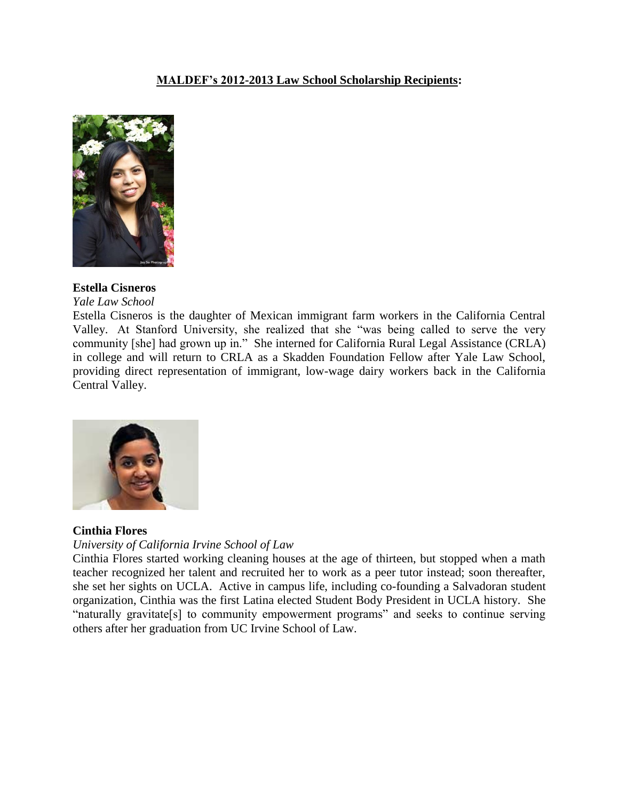# **MALDEF's 2012-2013 Law School Scholarship Recipients:**



## **Estella Cisneros**

*Yale Law School*

Estella Cisneros is the daughter of Mexican immigrant farm workers in the California Central Valley. At Stanford University, she realized that she "was being called to serve the very community [she] had grown up in." She interned for California Rural Legal Assistance (CRLA) in college and will return to CRLA as a Skadden Foundation Fellow after Yale Law School, providing direct representation of immigrant, low-wage dairy workers back in the California Central Valley.



## **Cinthia Flores**

#### *University of California Irvine School of Law*

Cinthia Flores started working cleaning houses at the age of thirteen, but stopped when a math teacher recognized her talent and recruited her to work as a peer tutor instead; soon thereafter, she set her sights on UCLA. Active in campus life, including co-founding a Salvadoran student organization, Cinthia was the first Latina elected Student Body President in UCLA history. She "naturally gravitate[s] to community empowerment programs" and seeks to continue serving others after her graduation from UC Irvine School of Law.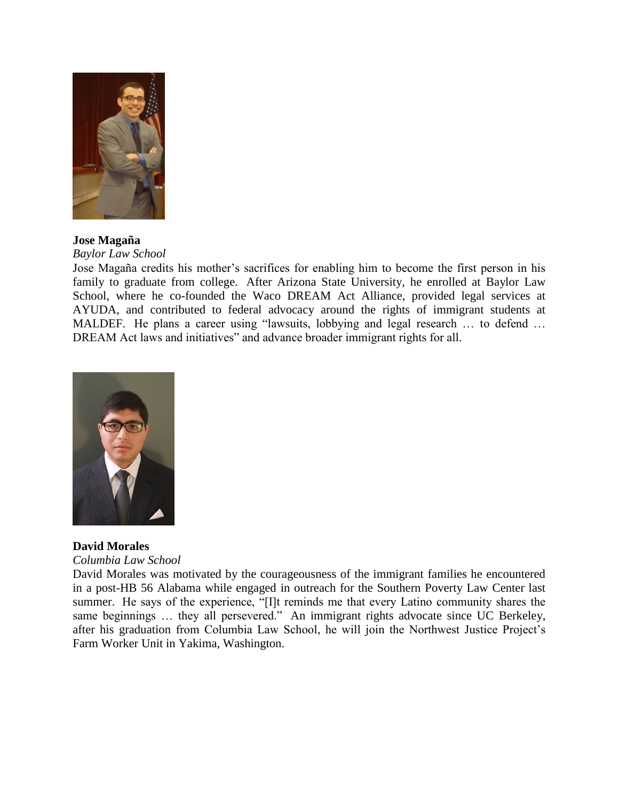

## **Jose Magaña**

*Baylor Law School*

Jose Magaña credits his mother's sacrifices for enabling him to become the first person in his family to graduate from college. After Arizona State University, he enrolled at Baylor Law School, where he co-founded the Waco DREAM Act Alliance, provided legal services at AYUDA, and contributed to federal advocacy around the rights of immigrant students at MALDEF. He plans a career using "lawsuits, lobbying and legal research … to defend … DREAM Act laws and initiatives" and advance broader immigrant rights for all.



# **David Morales**

*Columbia Law School*

David Morales was motivated by the courageousness of the immigrant families he encountered in a post-HB 56 Alabama while engaged in outreach for the Southern Poverty Law Center last summer. He says of the experience, "[I]t reminds me that every Latino community shares the same beginnings ... they all persevered." An immigrant rights advocate since UC Berkeley, after his graduation from Columbia Law School, he will join the Northwest Justice Project's Farm Worker Unit in Yakima, Washington.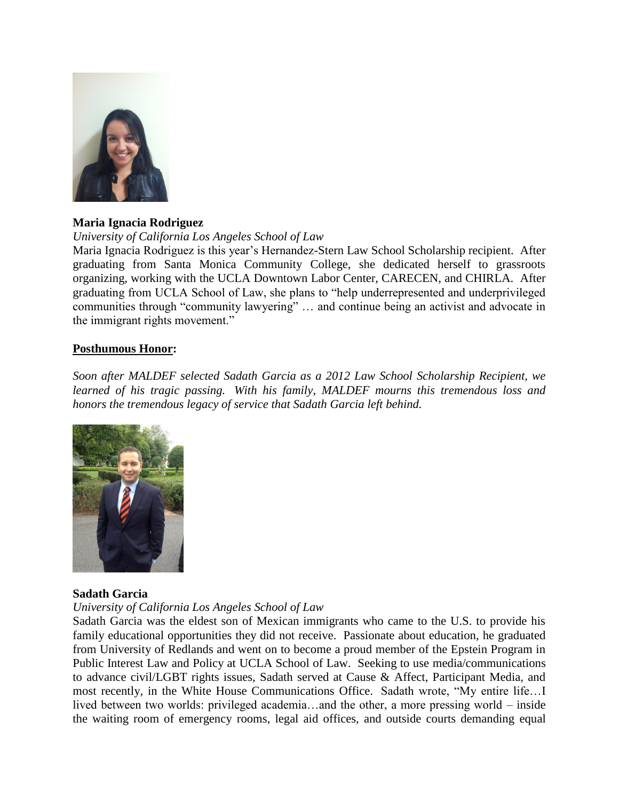

# **Maria Ignacia Rodriguez**

# *University of California Los Angeles School of Law*

Maria Ignacia Rodriguez is this year's Hernandez-Stern Law School Scholarship recipient. After graduating from Santa Monica Community College, she dedicated herself to grassroots organizing, working with the UCLA Downtown Labor Center, CARECEN, and CHIRLA. After graduating from UCLA School of Law, she plans to "help underrepresented and underprivileged communities through "community lawyering" … and continue being an activist and advocate in the immigrant rights movement."

# **Posthumous Honor:**

*Soon after MALDEF selected Sadath Garcia as a 2012 Law School Scholarship Recipient, we learned of his tragic passing. With his family, MALDEF mourns this tremendous loss and honors the tremendous legacy of service that Sadath Garcia left behind.*



## **Sadath Garcia**

#### *University of California Los Angeles School of Law*

Sadath Garcia was the eldest son of Mexican immigrants who came to the U.S. to provide his family educational opportunities they did not receive. Passionate about education, he graduated from University of Redlands and went on to become a proud member of the Epstein Program in Public Interest Law and Policy at UCLA School of Law. Seeking to use media/communications to advance civil/LGBT rights issues, Sadath served at Cause & Affect, Participant Media, and most recently, in the White House Communications Office. Sadath wrote, "My entire life…I lived between two worlds: privileged academia…and the other, a more pressing world – inside the waiting room of emergency rooms, legal aid offices, and outside courts demanding equal